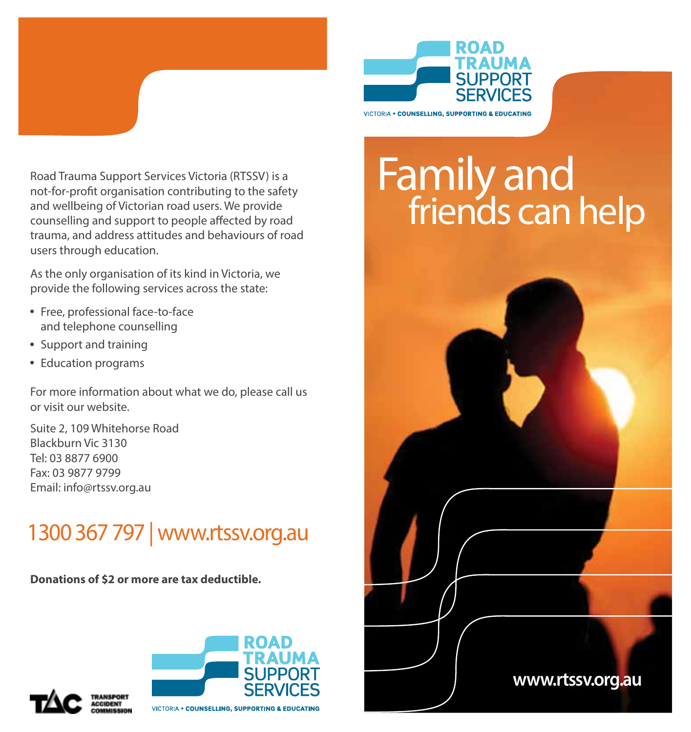

Road Trauma Support Services Victoria (RTSSV) is a not-for-profit organisation contributing to the safety and wellbeing of Victorian road users. We provide counselling and support to people affected by road trauma, and address attitudes and behaviours of road users through education.

As the only organisation of its kind in Victoria, we provide the following services across the state:

- Free, professional face-to-face and telephone counselling
- Support and training
- Education programs

For more information about what we do, please call us or visit our website.

Suite 2, 109 Whitehorse Road Blackburn Vic 3130 Tel: 03 8877 6900 Fax: 03 9877 9799 Email: info@rtssv.org.au

## 1300 367 797 | www.rtssv.org.au

**Donations of \$2 or more are tax deductible.**









ROAD **TRAUMA SUPPORT** 

**VICTORIA . COUNSELLING, SUPPORTING & EDUCATING**